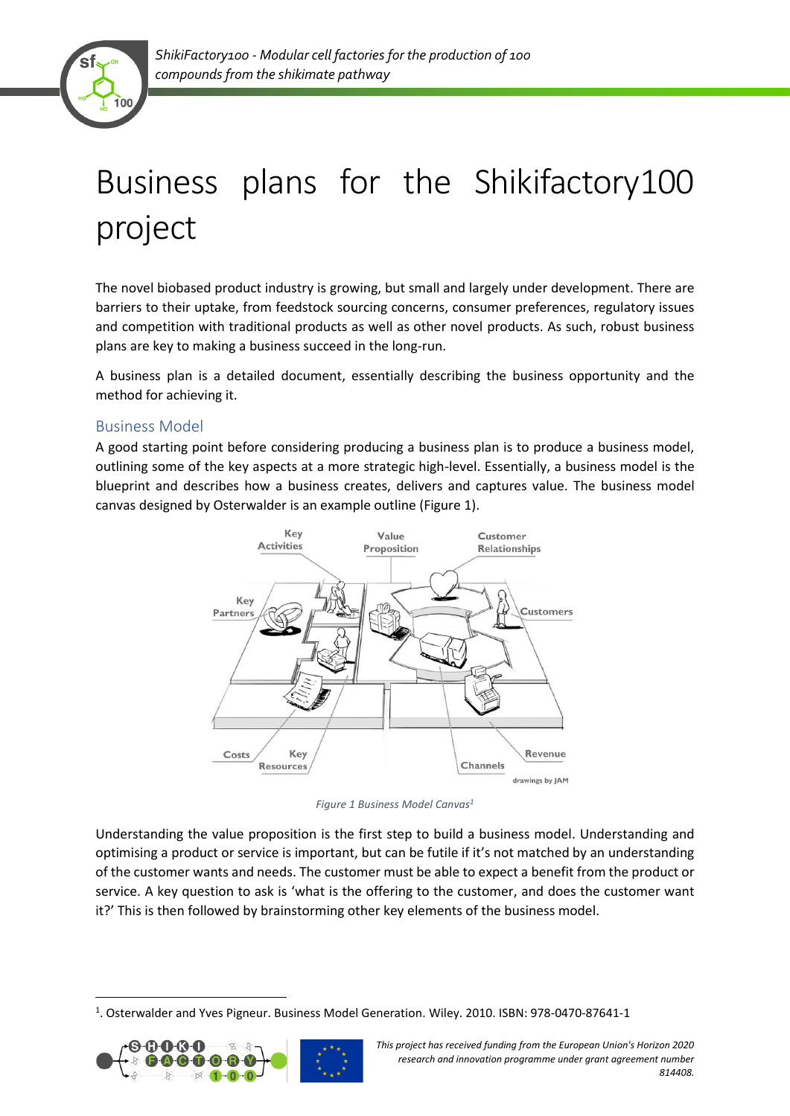

# Business plans for the Shikifactory100 project

The novel biobased product industry is growing, but small and largely under development. There are barriers to their uptake, from feedstock sourcing concerns, consumer preferences, regulatory issues and competition with traditional products as well as other novel products. As such, robust business plans are key to making a business succeed in the long-run.

A business plan is a detailed document, essentially describing the business opportunity and the method for achieving it.

### Business Model

A good starting point before considering producing a business plan is to produce a business model, outlining some of the key aspects at a more strategic high-level. Essentially, a business model is the blueprint and describes how a business creates, delivers and captures value. The business model canvas designed by Osterwalder is an example outline (Figure 1).



*Figure 1 Business Model Canvas<sup>1</sup>*

Understanding the value proposition is the first step to build a business model. Understanding and optimising a product or service is important, but can be futile if it's not matched by an understanding of the customer wants and needs. The customer must be able to expect a benefit from the product or service. A key question to ask is 'what is the offering to the customer, and does the customer want it?' This is then followed by brainstorming other key elements of the business model.

<sup>&</sup>lt;sup>1</sup>. Osterwalder and Yves Pigneur. Business Model Generation. Wiley. 2010. ISBN: 978-0470-87641-1



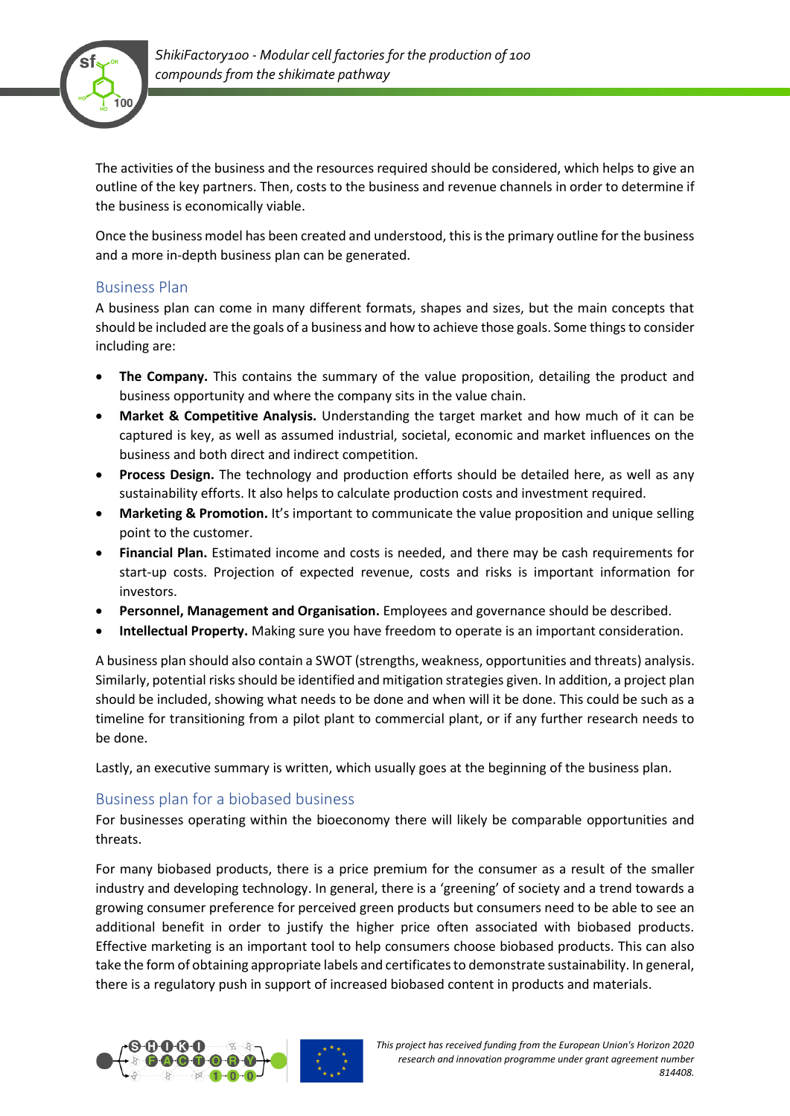

The activities of the business and the resources required should be considered, which helps to give an outline of the key partners. Then, costs to the business and revenue channels in order to determine if the business is economically viable.

Once the business model has been created and understood, this is the primary outline for the business and a more in-depth business plan can be generated.

### Business Plan

A business plan can come in many different formats, shapes and sizes, but the main concepts that should be included are the goals of a business and how to achieve those goals. Some things to consider including are:

- **The Company.** This contains the summary of the value proposition, detailing the product and business opportunity and where the company sits in the value chain.
- **Market & Competitive Analysis.** Understanding the target market and how much of it can be captured is key, as well as assumed industrial, societal, economic and market influences on the business and both direct and indirect competition.
- **Process Design.** The technology and production efforts should be detailed here, as well as any sustainability efforts. It also helps to calculate production costs and investment required.
- **Marketing & Promotion.** It's important to communicate the value proposition and unique selling point to the customer.
- **Financial Plan.** Estimated income and costs is needed, and there may be cash requirements for start-up costs. Projection of expected revenue, costs and risks is important information for investors.
- **Personnel, Management and Organisation.** Employees and governance should be described.
- **Intellectual Property.** Making sure you have freedom to operate is an important consideration.

A business plan should also contain a SWOT (strengths, weakness, opportunities and threats) analysis. Similarly, potential risks should be identified and mitigation strategies given. In addition, a project plan should be included, showing what needs to be done and when will it be done. This could be such as a timeline for transitioning from a pilot plant to commercial plant, or if any further research needs to be done.

Lastly, an executive summary is written, which usually goes at the beginning of the business plan.

### Business plan for a biobased business

For businesses operating within the bioeconomy there will likely be comparable opportunities and threats.

For many biobased products, there is a price premium for the consumer as a result of the smaller industry and developing technology. In general, there is a 'greening' of society and a trend towards a growing consumer preference for perceived green products but consumers need to be able to see an additional benefit in order to justify the higher price often associated with biobased products. Effective marketing is an important tool to help consumers choose biobased products. This can also take the form of obtaining appropriate labels and certificates to demonstrate sustainability. In general, there is a regulatory push in support of increased biobased content in products and materials.



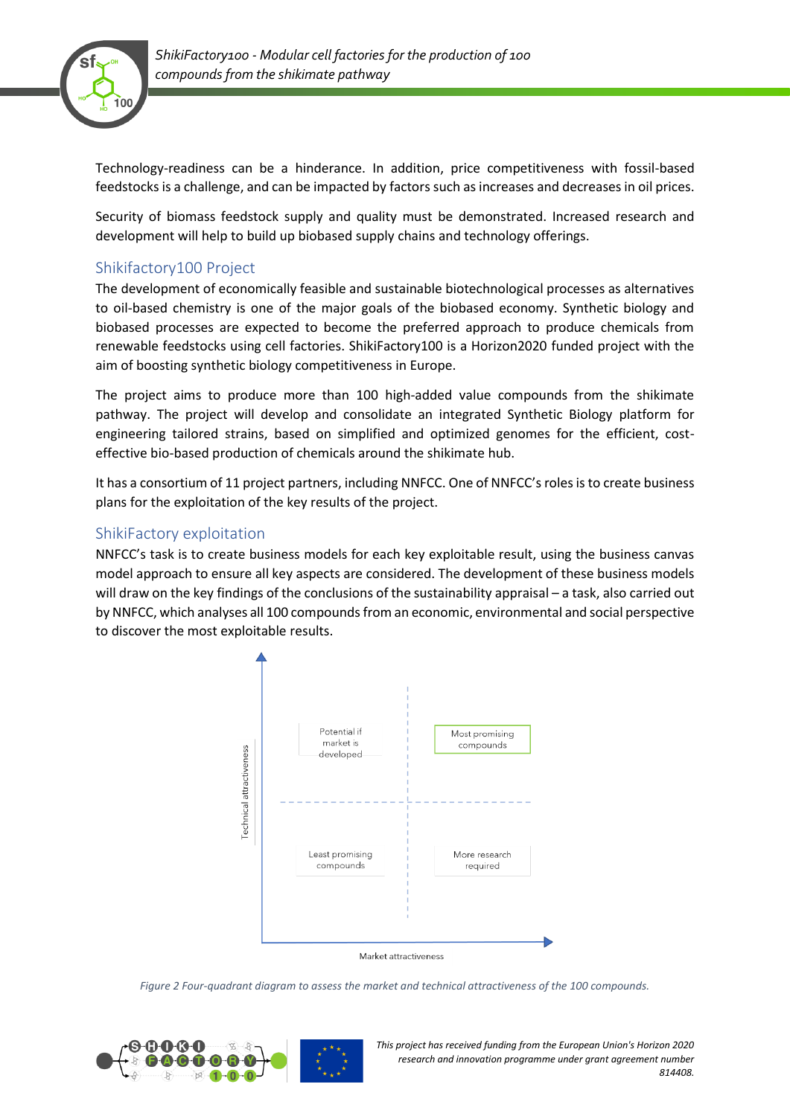

Technology-readiness can be a hinderance. In addition, price competitiveness with fossil-based feedstocks is a challenge, and can be impacted by factors such as increases and decreases in oil prices.

Security of biomass feedstock supply and quality must be demonstrated. Increased research and development will help to build up biobased supply chains and technology offerings.

## Shikifactory100 Project

The development of economically feasible and sustainable biotechnological processes as alternatives to oil-based chemistry is one of the major goals of the biobased economy. Synthetic biology and biobased processes are expected to become the preferred approach to produce chemicals from renewable feedstocks using cell factories. ShikiFactory100 is a Horizon2020 funded project with the aim of boosting synthetic biology competitiveness in Europe.

The project aims to produce more than 100 high-added value compounds from the shikimate pathway. The project will develop and consolidate an integrated Synthetic Biology platform for engineering tailored strains, based on simplified and optimized genomes for the efficient, costeffective bio-based production of chemicals around the shikimate hub.

It has a consortium of 11 project partners, including NNFCC. One of NNFCC's roles is to create business plans for the exploitation of the key results of the project.

### ShikiFactory exploitation

NNFCC's task is to create business models for each key exploitable result, using the business canvas model approach to ensure all key aspects are considered. The development of these business models will draw on the key findings of the conclusions of the sustainability appraisal – a task, also carried out by NNFCC, which analyses all 100 compoundsfrom an economic, environmental and social perspective to discover the most exploitable results.



*Figure 2 Four-quadrant diagram to assess the market and technical attractiveness of the 100 compounds.*